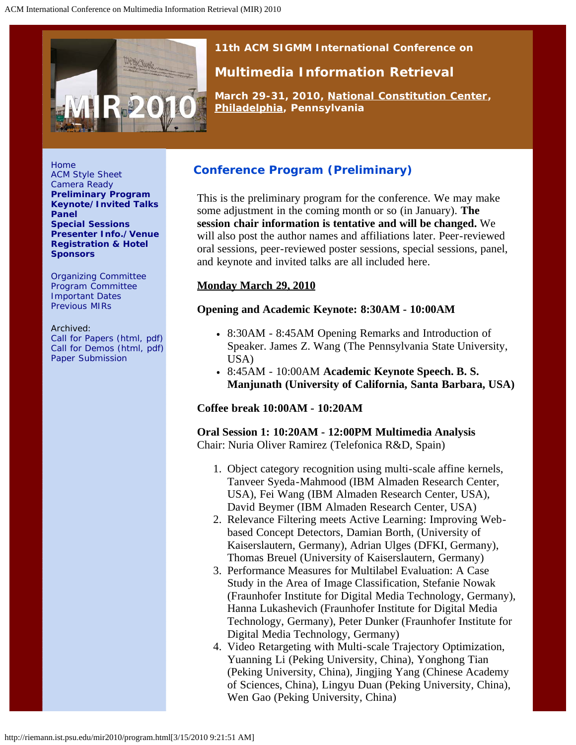<span id="page-0-0"></span>

*11th ACM SIGMM International Conference on*

# **Multimedia Information Retrieval**

*March 29-31, 2010, [National Constitution Center](http://constitutioncenter.org/), [Philadelphia](http://en.wikipedia.org/wiki/Philadelphia), Pennsylvania*

[Home](http://riemann.ist.psu.edu/mir2010/index.html) [ACM Style Sheet](http://www.acm.org/sigs/pubs/proceed/template.html) [Camera Ready](http://www.sheridanprinting.com/typedept/mir.htm) **[Preliminary Program](#page-0-0) [Keynote/Invited Talks](http://riemann.ist.psu.edu/mir2010/keynote.html) [Panel](http://riemann.ist.psu.edu/mir2010/panelsession.html) [Special Sessions](http://riemann.ist.psu.edu/mir2010/specialsession.html) [Presenter Info./Venue](http://riemann.ist.psu.edu/mir2010/presenterinfo.html) [Registration & Hotel](http://riemann.ist.psu.edu/mir2010/registration.html) [Sponsors](http://riemann.ist.psu.edu/mir2010/sponsors.html)**

[Organizing Committee](http://riemann.ist.psu.edu/mir2010/orgcom.html) [Program Committee](http://riemann.ist.psu.edu/mir2010/programcom.html) [Important Dates](http://riemann.ist.psu.edu/mir2010/imptdates.html) [Previous MIRs](http://riemann.ist.psu.edu/mir2010/previousmir.html)

Archived: [Call for Papers \(html,](http://riemann.ist.psu.edu/mir2010/CFP.htm) [pdf\)](http://riemann.ist.psu.edu/mir2010/cfp.pdf) [Call for Demos \(html,](http://riemann.ist.psu.edu/mir2010/CFD.htm) [pdf\)](http://riemann.ist.psu.edu/mir2010/cfd.pdf) [Paper Submission](http://riemann.ist.psu.edu/mir2010/papersubmission.html)

# **Conference Program (Preliminary)**

This is the preliminary program for the conference. We may make some adjustment in the coming month or so (in January). **The session chair information is tentative and will be changed.** We will also post the author names and affiliations later. Peer-reviewed oral sessions, peer-reviewed poster sessions, special sessions, panel, and keynote and invited talks are all included here.

## **Monday March 29, 2010**

## **Opening and Academic Keynote: 8:30AM - 10:00AM**

- 8:30AM 8:45AM Opening Remarks and Introduction of Speaker. James Z. Wang (The Pennsylvania State University, USA)
- 8:45AM 10:00AM **Academic Keynote Speech. B. S. Manjunath (University of California, Santa Barbara, USA)**

## **Coffee break 10:00AM - 10:20AM**

**Oral Session 1: 10:20AM - 12:00PM Multimedia Analysis** Chair: Nuria Oliver Ramirez (Telefonica R&D, Spain)

- 1. Object category recognition using multi-scale affine kernels, Tanveer Syeda-Mahmood (IBM Almaden Research Center, USA), Fei Wang (IBM Almaden Research Center, USA), David Beymer (IBM Almaden Research Center, USA)
- 2. Relevance Filtering meets Active Learning: Improving Webbased Concept Detectors, Damian Borth, (University of Kaiserslautern, Germany), Adrian Ulges (DFKI, Germany), Thomas Breuel (University of Kaiserslautern, Germany)
- 3. Performance Measures for Multilabel Evaluation: A Case Study in the Area of Image Classification, Stefanie Nowak (Fraunhofer Institute for Digital Media Technology, Germany), Hanna Lukashevich (Fraunhofer Institute for Digital Media Technology, Germany), Peter Dunker (Fraunhofer Institute for Digital Media Technology, Germany)
- 4. Video Retargeting with Multi-scale Trajectory Optimization, Yuanning Li (Peking University, China), Yonghong Tian (Peking University, China), Jingjing Yang (Chinese Academy of Sciences, China), Lingyu Duan (Peking University, China), Wen Gao (Peking University, China)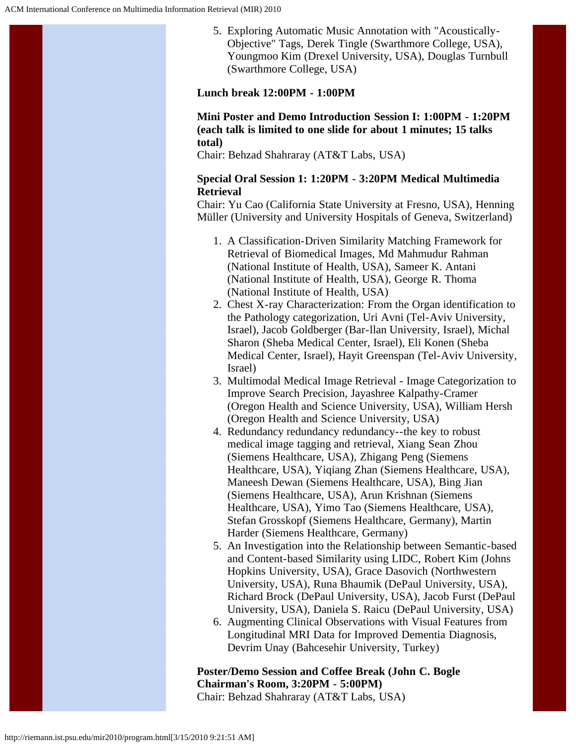5. Exploring Automatic Music Annotation with "Acoustically-Objective" Tags, Derek Tingle (Swarthmore College, USA), Youngmoo Kim (Drexel University, USA), Douglas Turnbull (Swarthmore College, USA)

### **Lunch break 12:00PM - 1:00PM**

**Mini Poster and Demo Introduction Session I: 1:00PM - 1:20PM (each talk is limited to one slide for about 1 minutes; 15 talks total)**

Chair: Behzad Shahraray (AT&T Labs, USA)

#### **Special Oral Session 1: 1:20PM - 3:20PM Medical Multimedia Retrieval**

Chair: Yu Cao (California State University at Fresno, USA), Henning Müller (University and University Hospitals of Geneva, Switzerland)

- 1. A Classification-Driven Similarity Matching Framework for Retrieval of Biomedical Images, Md Mahmudur Rahman (National Institute of Health, USA), Sameer K. Antani (National Institute of Health, USA), George R. Thoma (National Institute of Health, USA)
- 2. Chest X-ray Characterization: From the Organ identification to the Pathology categorization, Uri Avni (Tel-Aviv University, Israel), Jacob Goldberger (Bar-llan University, Israel), Michal Sharon (Sheba Medical Center, Israel), Eli Konen (Sheba Medical Center, Israel), Hayit Greenspan (Tel-Aviv University, Israel)
- 3. Multimodal Medical Image Retrieval Image Categorization to Improve Search Precision, Jayashree Kalpathy-Cramer (Oregon Health and Science University, USA), William Hersh (Oregon Health and Science University, USA)
- 4. Redundancy redundancy redundancy--the key to robust medical image tagging and retrieval, Xiang Sean Zhou (Siemens Healthcare, USA), Zhigang Peng (Siemens Healthcare, USA), Yiqiang Zhan (Siemens Healthcare, USA), Maneesh Dewan (Siemens Healthcare, USA), Bing Jian (Siemens Healthcare, USA), Arun Krishnan (Siemens Healthcare, USA), Yimo Tao (Siemens Healthcare, USA), Stefan Grosskopf (Siemens Healthcare, Germany), Martin Harder (Siemens Healthcare, Germany)
- 5. An Investigation into the Relationship between Semantic-based and Content-based Similarity using LIDC, Robert Kim (Johns Hopkins University, USA), Grace Dasovich (Northwestern University, USA), Runa Bhaumik (DePaul University, USA), Richard Brock (DePaul University, USA), Jacob Furst (DePaul University, USA), Daniela S. Raicu (DePaul University, USA)
- 6. Augmenting Clinical Observations with Visual Features from Longitudinal MRI Data for Improved Dementia Diagnosis, Devrim Unay (Bahcesehir University, Turkey)

# **Poster/Demo Session and Coffee Break (John C. Bogle Chairman's Room, 3:20PM - 5:00PM)**

Chair: Behzad Shahraray (AT&T Labs, USA)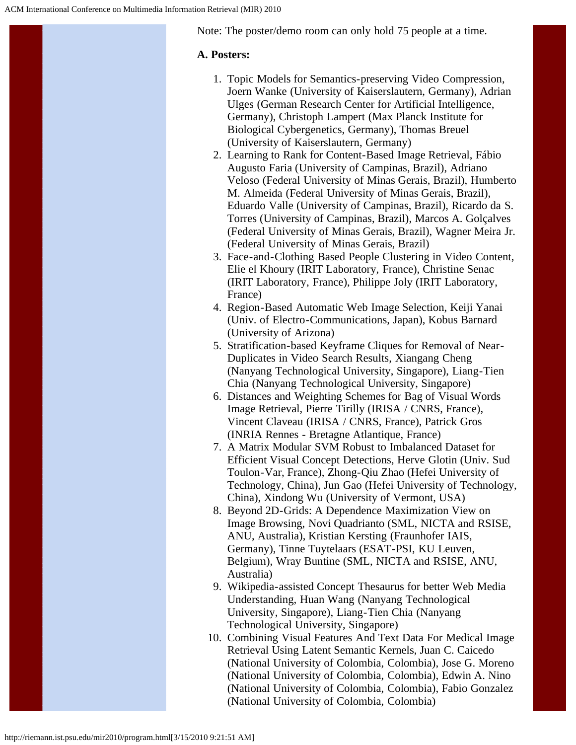Note: The poster/demo room can only hold 75 people at a time.

## **A. Posters:**

- 1. Topic Models for Semantics-preserving Video Compression, Joern Wanke (University of Kaiserslautern, Germany), Adrian Ulges (German Research Center for Artificial Intelligence, Germany), Christoph Lampert (Max Planck Institute for Biological Cybergenetics, Germany), Thomas Breuel (University of Kaiserslautern, Germany)
- 2. Learning to Rank for Content-Based Image Retrieval, Fábio Augusto Faria (University of Campinas, Brazil), Adriano Veloso (Federal University of Minas Gerais, Brazil), Humberto M. Almeida (Federal University of Minas Gerais, Brazil), Eduardo Valle (University of Campinas, Brazil), Ricardo da S. Torres (University of Campinas, Brazil), Marcos A. Golçalves (Federal University of Minas Gerais, Brazil), Wagner Meira Jr. (Federal University of Minas Gerais, Brazil)
- 3. Face-and-Clothing Based People Clustering in Video Content, Elie el Khoury (IRIT Laboratory, France), Christine Senac (IRIT Laboratory, France), Philippe Joly (IRIT Laboratory, France)
- 4. Region-Based Automatic Web Image Selection, Keiji Yanai (Univ. of Electro-Communications, Japan), Kobus Barnard (University of Arizona)
- 5. Stratification-based Keyframe Cliques for Removal of Near-Duplicates in Video Search Results, Xiangang Cheng (Nanyang Technological University, Singapore), Liang-Tien Chia (Nanyang Technological University, Singapore)
- 6. Distances and Weighting Schemes for Bag of Visual Words Image Retrieval, Pierre Tirilly (IRISA / CNRS, France), Vincent Claveau (IRISA / CNRS, France), Patrick Gros (INRIA Rennes - Bretagne Atlantique, France)
- 7. A Matrix Modular SVM Robust to Imbalanced Dataset for Efficient Visual Concept Detections, Herve Glotin (Univ. Sud Toulon-Var, France), Zhong-Qiu Zhao (Hefei University of Technology, China), Jun Gao (Hefei University of Technology, China), Xindong Wu (University of Vermont, USA)
- 8. Beyond 2D-Grids: A Dependence Maximization View on Image Browsing, Novi Quadrianto (SML, NICTA and RSISE, ANU, Australia), Kristian Kersting (Fraunhofer IAIS, Germany), Tinne Tuytelaars (ESAT-PSI, KU Leuven, Belgium), Wray Buntine (SML, NICTA and RSISE, ANU, Australia)
- 9. Wikipedia-assisted Concept Thesaurus for better Web Media Understanding, Huan Wang (Nanyang Technological University, Singapore), Liang-Tien Chia (Nanyang Technological University, Singapore)
- 10. Combining Visual Features And Text Data For Medical Image Retrieval Using Latent Semantic Kernels, Juan C. Caicedo (National University of Colombia, Colombia), Jose G. Moreno (National University of Colombia, Colombia), Edwin A. Nino (National University of Colombia, Colombia), Fabio Gonzalez (National University of Colombia, Colombia)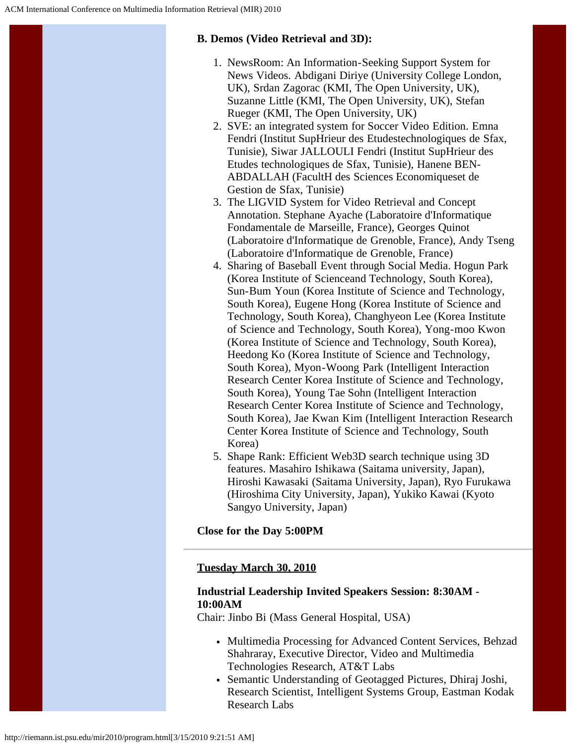## **B. Demos (Video Retrieval and 3D):**

- 1. NewsRoom: An Information-Seeking Support System for News Videos. Abdigani Diriye (University College London, UK), Srdan Zagorac (KMI, The Open University, UK), Suzanne Little (KMI, The Open University, UK), Stefan Rueger (KMI, The Open University, UK)
- 2. SVE: an integrated system for Soccer Video Edition. Emna Fendri (Institut SupHrieur des Etudestechnologiques de Sfax, Tunisie), Siwar JALLOULI Fendri (Institut SupHrieur des Etudes technologiques de Sfax, Tunisie), Hanene BEN-ABDALLAH (FacultH des Sciences Economiqueset de Gestion de Sfax, Tunisie)
- 3. The LIGVID System for Video Retrieval and Concept Annotation. Stephane Ayache (Laboratoire d'Informatique Fondamentale de Marseille, France), Georges Quinot (Laboratoire d'Informatique de Grenoble, France), Andy Tseng (Laboratoire d'Informatique de Grenoble, France)
- 4. Sharing of Baseball Event through Social Media. Hogun Park (Korea Institute of Scienceand Technology, South Korea), Sun-Bum Youn (Korea Institute of Science and Technology, South Korea), Eugene Hong (Korea Institute of Science and Technology, South Korea), Changhyeon Lee (Korea Institute of Science and Technology, South Korea), Yong-moo Kwon (Korea Institute of Science and Technology, South Korea), Heedong Ko (Korea Institute of Science and Technology, South Korea), Myon-Woong Park (Intelligent Interaction Research Center Korea Institute of Science and Technology, South Korea), Young Tae Sohn (Intelligent Interaction Research Center Korea Institute of Science and Technology, South Korea), Jae Kwan Kim (Intelligent Interaction Research Center Korea Institute of Science and Technology, South Korea)
- 5. Shape Rank: Efficient Web3D search technique using 3D features. Masahiro Ishikawa (Saitama university, Japan), Hiroshi Kawasaki (Saitama University, Japan), Ryo Furukawa (Hiroshima City University, Japan), Yukiko Kawai (Kyoto Sangyo University, Japan)

**Close for the Day 5:00PM**

## **Tuesday March 30, 2010**

#### **Industrial Leadership Invited Speakers Session: 8:30AM - 10:00AM**

Chair: Jinbo Bi (Mass General Hospital, USA)

- Multimedia Processing for Advanced Content Services, Behzad Shahraray, Executive Director, Video and Multimedia Technologies Research, AT&T Labs
- Semantic Understanding of Geotagged Pictures, Dhiraj Joshi, Research Scientist, Intelligent Systems Group, Eastman Kodak Research Labs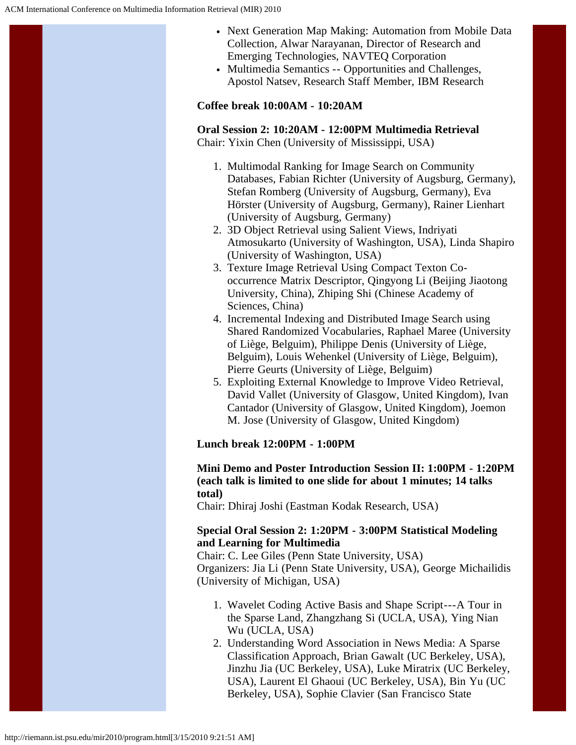- Next Generation Map Making: Automation from Mobile Data Collection, Alwar Narayanan, Director of Research and Emerging Technologies, NAVTEQ Corporation
- Multimedia Semantics -- Opportunities and Challenges, Apostol Natsev, Research Staff Member, IBM Research

#### **Coffee break 10:00AM - 10:20AM**

#### **Oral Session 2: 10:20AM - 12:00PM Multimedia Retrieval** Chair: Yixin Chen (University of Mississippi, USA)

- 1. Multimodal Ranking for Image Search on Community Databases, Fabian Richter (University of Augsburg, Germany), Stefan Romberg (University of Augsburg, Germany), Eva Hörster (University of Augsburg, Germany), Rainer Lienhart (University of Augsburg, Germany)
- 2. 3D Object Retrieval using Salient Views, Indriyati Atmosukarto (University of Washington, USA), Linda Shapiro (University of Washington, USA)
- 3. Texture Image Retrieval Using Compact Texton Cooccurrence Matrix Descriptor, Qingyong Li (Beijing Jiaotong University, China), Zhiping Shi (Chinese Academy of Sciences, China)
- 4. Incremental Indexing and Distributed Image Search using Shared Randomized Vocabularies, Raphael Maree (University of Liège, Belguim), Philippe Denis (University of Liège, Belguim), Louis Wehenkel (University of Liège, Belguim), Pierre Geurts (University of Liège, Belguim)
- 5. Exploiting External Knowledge to Improve Video Retrieval, David Vallet (University of Glasgow, United Kingdom), Ivan Cantador (University of Glasgow, United Kingdom), Joemon M. Jose (University of Glasgow, United Kingdom)

## **Lunch break 12:00PM - 1:00PM**

#### **Mini Demo and Poster Introduction Session II: 1:00PM - 1:20PM (each talk is limited to one slide for about 1 minutes; 14 talks total)**

Chair: Dhiraj Joshi (Eastman Kodak Research, USA)

#### **Special Oral Session 2: 1:20PM - 3:00PM Statistical Modeling and Learning for Multimedia**

Chair: C. Lee Giles (Penn State University, USA) Organizers: Jia Li (Penn State University, USA), George Michailidis (University of Michigan, USA)

- 1. Wavelet Coding Active Basis and Shape Script---A Tour in the Sparse Land, Zhangzhang Si (UCLA, USA), Ying Nian Wu (UCLA, USA)
- 2. Understanding Word Association in News Media: A Sparse Classification Approach, Brian Gawalt (UC Berkeley, USA), Jinzhu Jia (UC Berkeley, USA), Luke Miratrix (UC Berkeley, USA), Laurent El Ghaoui (UC Berkeley, USA), Bin Yu (UC Berkeley, USA), Sophie Clavier (San Francisco State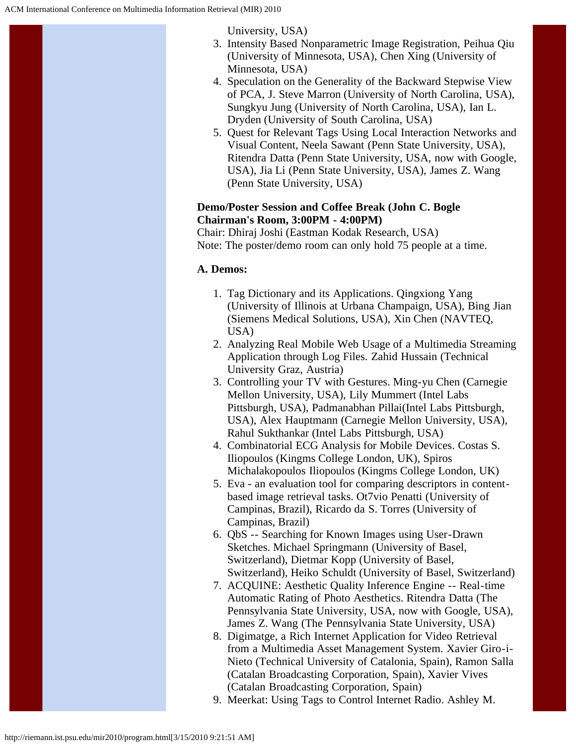University, USA)

- 3. Intensity Based Nonparametric Image Registration, Peihua Qiu (University of Minnesota, USA), Chen Xing (University of Minnesota, USA)
- 4. Speculation on the Generality of the Backward Stepwise View of PCA, J. Steve Marron (University of North Carolina, USA), Sungkyu Jung (University of North Carolina, USA), Ian L. Dryden (University of South Carolina, USA)
- 5. Quest for Relevant Tags Using Local Interaction Networks and Visual Content, Neela Sawant (Penn State University, USA), Ritendra Datta (Penn State University, USA, now with Google, USA), Jia Li (Penn State University, USA), James Z. Wang (Penn State University, USA)

### **Demo/Poster Session and Coffee Break (John C. Bogle Chairman's Room, 3:00PM - 4:00PM)**

Chair: Dhiraj Joshi (Eastman Kodak Research, USA) Note: The poster/demo room can only hold 75 people at a time.

## **A. Demos:**

- 1. Tag Dictionary and its Applications. Qingxiong Yang (University of Illinois at Urbana Champaign, USA), Bing Jian (Siemens Medical Solutions, USA), Xin Chen (NAVTEQ, USA)
- 2. Analyzing Real Mobile Web Usage of a Multimedia Streaming Application through Log Files. Zahid Hussain (Technical University Graz, Austria)
- 3. Controlling your TV with Gestures. Ming-yu Chen (Carnegie Mellon University, USA), Lily Mummert (Intel Labs Pittsburgh, USA), Padmanabhan Pillai(Intel Labs Pittsburgh, USA), Alex Hauptmann (Carnegie Mellon University, USA), Rahul Sukthankar (Intel Labs Pittsburgh, USA)
- 4. Combinatorial ECG Analysis for Mobile Devices. Costas S. Iliopoulos (Kingms College London, UK), Spiros Michalakopoulos Iliopoulos (Kingms College London, UK)
- 5. Eva an evaluation tool for comparing descriptors in contentbased image retrieval tasks. Ot7vio Penatti (University of Campinas, Brazil), Ricardo da S. Torres (University of Campinas, Brazil)
- 6. QbS -- Searching for Known Images using User-Drawn Sketches. Michael Springmann (University of Basel, Switzerland), Dietmar Kopp (University of Basel, Switzerland), Heiko Schuldt (University of Basel, Switzerland)
- 7. ACQUINE: Aesthetic Quality Inference Engine -- Real-time Automatic Rating of Photo Aesthetics. Ritendra Datta (The Pennsylvania State University, USA, now with Google, USA), James Z. Wang (The Pennsylvania State University, USA)
- 8. Digimatge, a Rich Internet Application for Video Retrieval from a Multimedia Asset Management System. Xavier Giro-i-Nieto (Technical University of Catalonia, Spain), Ramon Salla (Catalan Broadcasting Corporation, Spain), Xavier Vives (Catalan Broadcasting Corporation, Spain)
- 9. Meerkat: Using Tags to Control Internet Radio. Ashley M.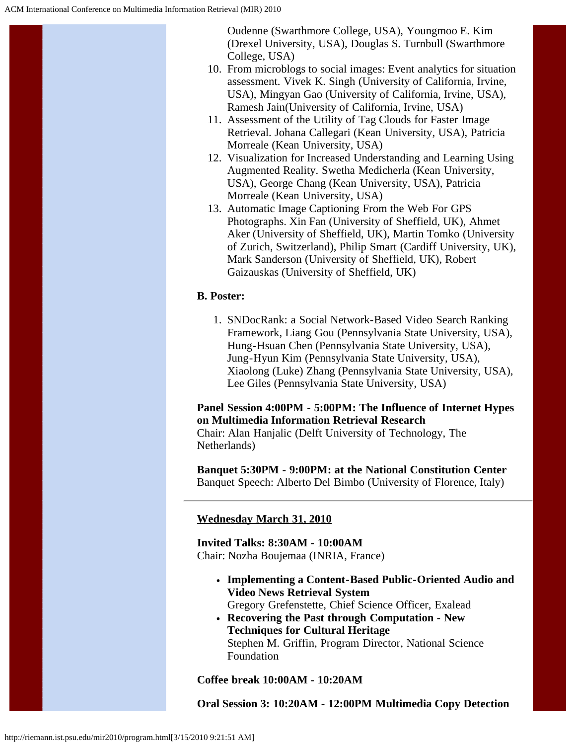Oudenne (Swarthmore College, USA), Youngmoo E. Kim (Drexel University, USA), Douglas S. Turnbull (Swarthmore College, USA)

- 10. From microblogs to social images: Event analytics for situation assessment. Vivek K. Singh (University of California, Irvine, USA), Mingyan Gao (University of California, Irvine, USA), Ramesh Jain(University of California, Irvine, USA)
- 11. Assessment of the Utility of Tag Clouds for Faster Image Retrieval. Johana Callegari (Kean University, USA), Patricia Morreale (Kean University, USA)
- 12. Visualization for Increased Understanding and Learning Using Augmented Reality. Swetha Medicherla (Kean University, USA), George Chang (Kean University, USA), Patricia Morreale (Kean University, USA)
- 13. Automatic Image Captioning From the Web For GPS Photographs. Xin Fan (University of Sheffield, UK), Ahmet Aker (University of Sheffield, UK), Martin Tomko (University of Zurich, Switzerland), Philip Smart (Cardiff University, UK), Mark Sanderson (University of Sheffield, UK), Robert Gaizauskas (University of Sheffield, UK)

## **B. Poster:**

1. SNDocRank: a Social Network-Based Video Search Ranking Framework, Liang Gou (Pennsylvania State University, USA), Hung-Hsuan Chen (Pennsylvania State University, USA), Jung-Hyun Kim (Pennsylvania State University, USA), Xiaolong (Luke) Zhang (Pennsylvania State University, USA), Lee Giles (Pennsylvania State University, USA)

## **Panel Session 4:00PM - 5:00PM: The Influence of Internet Hypes on Multimedia Information Retrieval Research**

Chair: Alan Hanjalic (Delft University of Technology, The Netherlands)

**Banquet 5:30PM - 9:00PM: at the National Constitution Center** Banquet Speech: Alberto Del Bimbo (University of Florence, Italy)

## **Wednesday March 31, 2010**

**Invited Talks: 8:30AM - 10:00AM** Chair: Nozha Boujemaa (INRIA, France)

- **Implementing a Content-Based Public-Oriented Audio and Video News Retrieval System** Gregory Grefenstette, Chief Science Officer, Exalead
- **Recovering the Past through Computation New Techniques for Cultural Heritage** Stephen M. Griffin, Program Director, National Science Foundation

#### **Coffee break 10:00AM - 10:20AM**

**Oral Session 3: 10:20AM - 12:00PM Multimedia Copy Detection**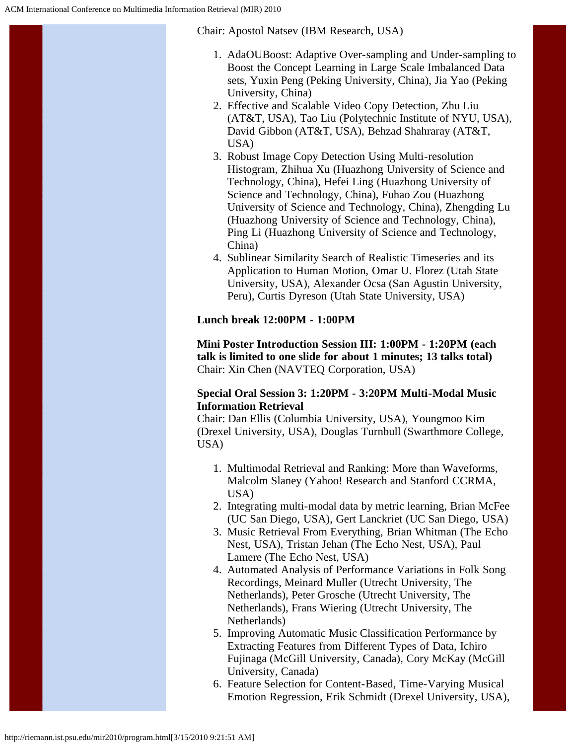Chair: Apostol Natsev (IBM Research, USA)

- 1. AdaOUBoost: Adaptive Over-sampling and Under-sampling to Boost the Concept Learning in Large Scale Imbalanced Data sets, Yuxin Peng (Peking University, China), Jia Yao (Peking University, China)
- 2. Effective and Scalable Video Copy Detection, Zhu Liu (AT&T, USA), Tao Liu (Polytechnic Institute of NYU, USA), David Gibbon (AT&T, USA), Behzad Shahraray (AT&T, USA)
- 3. Robust Image Copy Detection Using Multi-resolution Histogram, Zhihua Xu (Huazhong University of Science and Technology, China), Hefei Ling (Huazhong University of Science and Technology, China), Fuhao Zou (Huazhong University of Science and Technology, China), Zhengding Lu (Huazhong University of Science and Technology, China), Ping Li (Huazhong University of Science and Technology, China)
- 4. Sublinear Similarity Search of Realistic Timeseries and its Application to Human Motion, Omar U. Florez (Utah State University, USA), Alexander Ocsa (San Agustin University, Peru), Curtis Dyreson (Utah State University, USA)

## **Lunch break 12:00PM - 1:00PM**

**Mini Poster Introduction Session III: 1:00PM - 1:20PM (each talk is limited to one slide for about 1 minutes; 13 talks total)** Chair: Xin Chen (NAVTEQ Corporation, USA)

#### **Special Oral Session 3: 1:20PM - 3:20PM Multi-Modal Music Information Retrieval**

Chair: Dan Ellis (Columbia University, USA), Youngmoo Kim (Drexel University, USA), Douglas Turnbull (Swarthmore College, USA)

- 1. Multimodal Retrieval and Ranking: More than Waveforms, Malcolm Slaney (Yahoo! Research and Stanford CCRMA, USA)
- 2. Integrating multi-modal data by metric learning, Brian McFee (UC San Diego, USA), Gert Lanckriet (UC San Diego, USA)
- 3. Music Retrieval From Everything, Brian Whitman (The Echo Nest, USA), Tristan Jehan (The Echo Nest, USA), Paul Lamere (The Echo Nest, USA)
- 4. Automated Analysis of Performance Variations in Folk Song Recordings, Meinard Muller (Utrecht University, The Netherlands), Peter Grosche (Utrecht University, The Netherlands), Frans Wiering (Utrecht University, The Netherlands)
- 5. Improving Automatic Music Classification Performance by Extracting Features from Different Types of Data, Ichiro Fujinaga (McGill University, Canada), Cory McKay (McGill University, Canada)
- 6. Feature Selection for Content-Based, Time-Varying Musical Emotion Regression, Erik Schmidt (Drexel University, USA),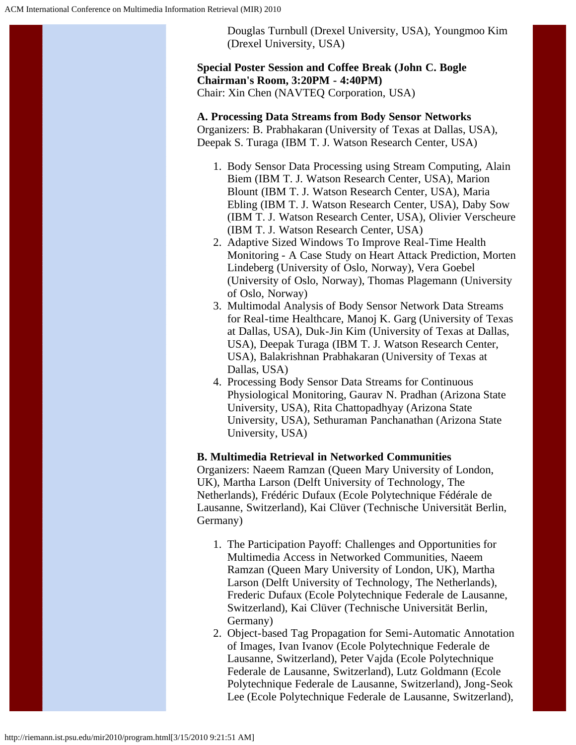

## **Special Poster Session and Coffee Break (John C. Bogle Chairman's Room, 3:20PM - 4:40PM)** Chair: Xin Chen (NAVTEQ Corporation, USA)

**A. Processing Data Streams from Body Sensor Networks** Organizers: B. Prabhakaran (University of Texas at Dallas, USA), Deepak S. Turaga (IBM T. J. Watson Research Center, USA)

- 1. Body Sensor Data Processing using Stream Computing, Alain Biem (IBM T. J. Watson Research Center, USA), Marion Blount (IBM T. J. Watson Research Center, USA), Maria Ebling (IBM T. J. Watson Research Center, USA), Daby Sow (IBM T. J. Watson Research Center, USA), Olivier Verscheure (IBM T. J. Watson Research Center, USA)
- 2. Adaptive Sized Windows To Improve Real-Time Health Monitoring - A Case Study on Heart Attack Prediction, Morten Lindeberg (University of Oslo, Norway), Vera Goebel (University of Oslo, Norway), Thomas Plagemann (University of Oslo, Norway)
- 3. Multimodal Analysis of Body Sensor Network Data Streams for Real-time Healthcare, Manoj K. Garg (University of Texas at Dallas, USA), Duk-Jin Kim (University of Texas at Dallas, USA), Deepak Turaga (IBM T. J. Watson Research Center, USA), Balakrishnan Prabhakaran (University of Texas at Dallas, USA)
- 4. Processing Body Sensor Data Streams for Continuous Physiological Monitoring, Gaurav N. Pradhan (Arizona State University, USA), Rita Chattopadhyay (Arizona State University, USA), Sethuraman Panchanathan (Arizona State University, USA)

## **B. Multimedia Retrieval in Networked Communities**

Organizers: Naeem Ramzan (Queen Mary University of London, UK), Martha Larson (Delft University of Technology, The Netherlands), Frédéric Dufaux (Ecole Polytechnique Fédérale de Lausanne, Switzerland), Kai Clüver (Technische Universität Berlin, Germany)

- 1. The Participation Payoff: Challenges and Opportunities for Multimedia Access in Networked Communities, Naeem Ramzan (Queen Mary University of London, UK), Martha Larson (Delft University of Technology, The Netherlands), Frederic Dufaux (Ecole Polytechnique Federale de Lausanne, Switzerland), Kai Clüver (Technische Universität Berlin, Germany)
- 2. Object-based Tag Propagation for Semi-Automatic Annotation of Images, Ivan Ivanov (Ecole Polytechnique Federale de Lausanne, Switzerland), Peter Vajda (Ecole Polytechnique Federale de Lausanne, Switzerland), Lutz Goldmann (Ecole Polytechnique Federale de Lausanne, Switzerland), Jong-Seok Lee (Ecole Polytechnique Federale de Lausanne, Switzerland),